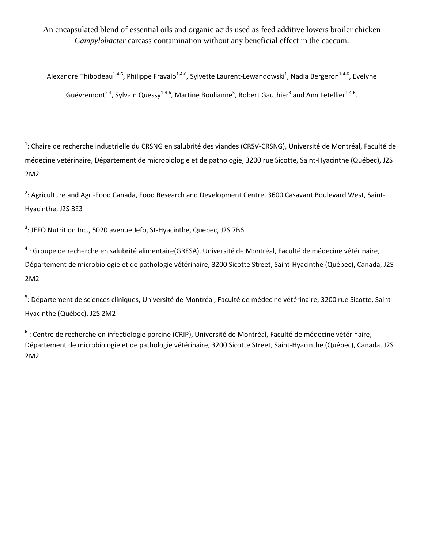An encapsulated blend of essential oils and organic acids used as feed additive lowers broiler chicken *Campylobacter* carcass contamination without any beneficial effect in the caecum.

Alexandre Thibodeau<sup>1-4-6</sup>, Philippe Fravalo<sup>1-4-6</sup>, Sylvette Laurent-Lewandowski<sup>1</sup>, Nadia Bergeron<sup>1-4-6</sup>, Evelyne Guévremont<sup>2-4</sup>, Sylvain Quessy<sup>1-4-6</sup>, Martine Boulianne<sup>5</sup>, Robert Gauthier<sup>3</sup> and Ann Letellier<sup>1-4-6</sup>.

<sup>1</sup>: Chaire de recherche industrielle du CRSNG en salubrité des viandes (CRSV-CRSNG), Université de Montréal, Faculté de médecine vétérinaire, Département de microbiologie et de pathologie, 3200 rue Sicotte, Saint-Hyacinthe (Québec), J2S 2M2

<sup>2</sup>: Agriculture and Agri-Food Canada, Food Research and Development Centre, 3600 Casavant Boulevard West, Saint-Hyacinthe, J2S 8E3

<sup>3</sup>: JEFO Nutrition Inc., 5020 avenue Jefo, St-Hyacinthe, Quebec, J2S 7B6

<sup>4</sup> : Groupe de recherche en salubrité alimentaire(GRESA), Université de Montréal, Faculté de médecine vétérinaire, Département de microbiologie et de pathologie vétérinaire, 3200 Sicotte Street, Saint-Hyacinthe (Québec), Canada, J2S 2M2

<sup>5</sup>: Département de sciences cliniques, Université de Montréal, Faculté de médecine vétérinaire, 3200 rue Sicotte, Saint-Hyacinthe (Québec), J2S 2M2

<sup>6</sup> : Centre de recherche en infectiologie porcine (CRIP), Université de Montréal, Faculté de médecine vétérinaire, Département de microbiologie et de pathologie vétérinaire, 3200 Sicotte Street, Saint-Hyacinthe (Québec), Canada, J2S 2M2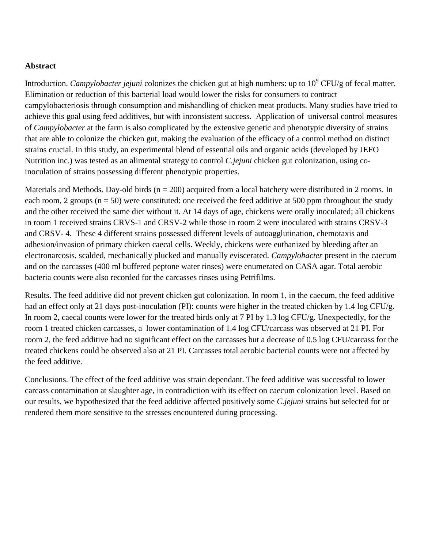## **Abstract**

Introduction. *Campylobacter jejuni* colonizes the chicken gut at high numbers: up to 10<sup>9</sup> CFU/g of fecal matter. Elimination or reduction of this bacterial load would lower the risks for consumers to contract campylobacteriosis through consumption and mishandling of chicken meat products. Many studies have tried to achieve this goal using feed additives, but with inconsistent success. Application of universal control measures of *Campylobacter* at the farm is also complicated by the extensive genetic and phenotypic diversity of strains that are able to colonize the chicken gut, making the evaluation of the efficacy of a control method on distinct strains crucial. In this study, an experimental blend of essential oils and organic acids (developed by JEFO Nutrition inc.) was tested as an alimental strategy to control *C.jejuni* chicken gut colonization, using coinoculation of strains possessing different phenotypic properties.

Materials and Methods. Day-old birds ( $n = 200$ ) acquired from a local hatchery were distributed in 2 rooms. In each room, 2 groups ( $n = 50$ ) were constituted: one received the feed additive at 500 ppm throughout the study and the other received the same diet without it. At 14 days of age, chickens were orally inoculated; all chickens in room 1 received strains CRVS-1 and CRSV-2 while those in room 2 were inoculated with strains CRSV-3 and CRSV- 4. These 4 different strains possessed different levels of autoagglutination, chemotaxis and adhesion/invasion of primary chicken caecal cells. Weekly, chickens were euthanized by bleeding after an electronarcosis, scalded, mechanically plucked and manually eviscerated. *Campylobacter* present in the caecum and on the carcasses (400 ml buffered peptone water rinses) were enumerated on CASA agar. Total aerobic bacteria counts were also recorded for the carcasses rinses using Petrifilms.

Results. The feed additive did not prevent chicken gut colonization. In room 1, in the caecum, the feed additive had an effect only at 21 days post-inoculation (PI): counts were higher in the treated chicken by 1.4 log CFU/g. In room 2, caecal counts were lower for the treated birds only at 7 PI by 1.3 log CFU/g. Unexpectedly, for the room 1 treated chicken carcasses, a lower contamination of 1.4 log CFU/carcass was observed at 21 PI. For room 2, the feed additive had no significant effect on the carcasses but a decrease of 0.5 log CFU/carcass for the treated chickens could be observed also at 21 PI. Carcasses total aerobic bacterial counts were not affected by the feed additive.

Conclusions. The effect of the feed additive was strain dependant. The feed additive was successful to lower carcass contamination at slaughter age, in contradiction with its effect on caecum colonization level. Based on our results, we hypothesized that the feed additive affected positively some *C.jejuni* strains but selected for or rendered them more sensitive to the stresses encountered during processing.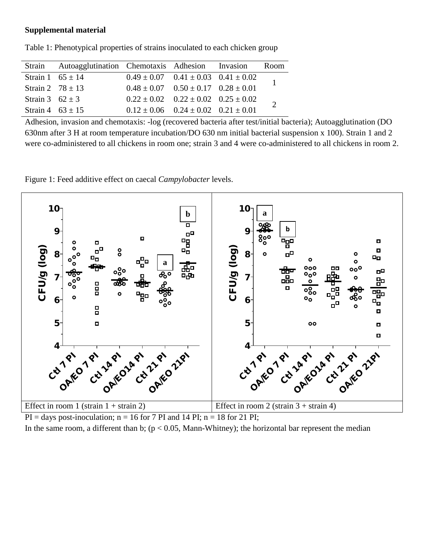## **Supplemental material**

|                      | Strain Autoagglutination Chemotaxis Adhesion Invasion |                                                 |                                                 | Room |
|----------------------|-------------------------------------------------------|-------------------------------------------------|-------------------------------------------------|------|
| Strain 1 $65 \pm 14$ |                                                       |                                                 | $0.49 \pm 0.07$ $0.41 \pm 0.03$ $0.41 \pm 0.02$ |      |
| Strain 2 $78 \pm 13$ |                                                       |                                                 | $0.48 \pm 0.07$ $0.50 \pm 0.17$ $0.28 \pm 0.01$ |      |
| Strain 3 $62 \pm 3$  |                                                       | $0.22 \pm 0.02$ $0.22 \pm 0.02$ $0.25 \pm 0.02$ |                                                 |      |
| Strain 4 $63 \pm 15$ |                                                       |                                                 | $0.12 \pm 0.06$ $0.24 \pm 0.02$ $0.21 \pm 0.01$ |      |

Table 1: Phenotypical properties of strains inoculated to each chicken group

Adhesion, invasion and chemotaxis: -log (recovered bacteria after test/initial bacteria); Autoagglutination (DO 630nm after 3 H at room temperature incubation/DO 630 nm initial bacterial suspension x 100). Strain 1 and 2 were co-administered to all chickens in room one; strain 3 and 4 were co-administered to all chickens in room 2.

Figure 1: Feed additive effect on caecal *Campylobacter* levels.



 $PI = days$  post-inoculation;  $n = 16$  for 7 PI and 14 PI;  $n = 18$  for 21 PI; In the same room, a different than b;  $(p < 0.05$ , Mann-Whitney); the horizontal bar represent the median